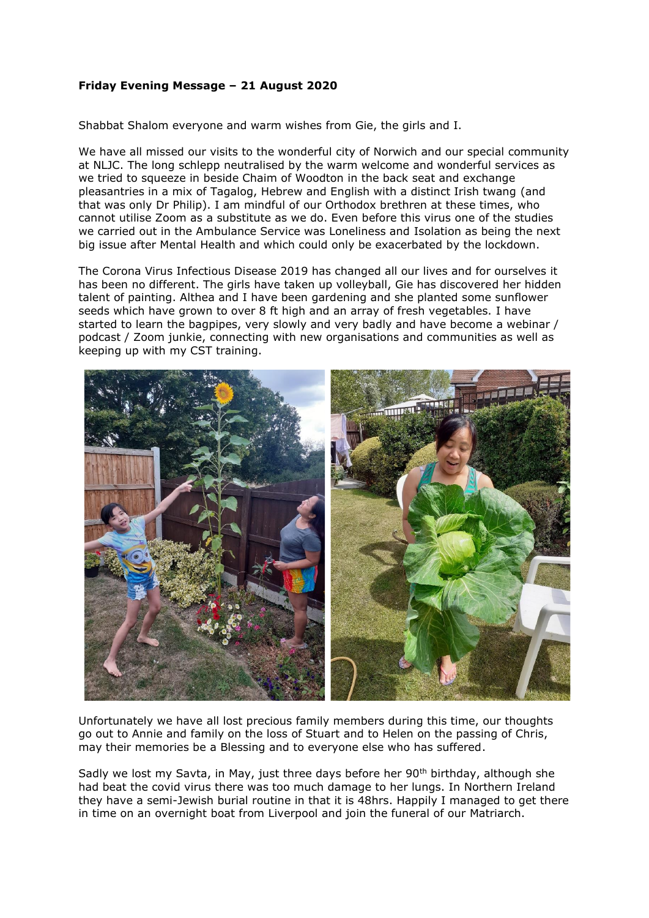## **Friday Evening Message – 21 August 2020**

Shabbat Shalom everyone and warm wishes from Gie, the girls and I.

We have all missed our visits to the wonderful city of Norwich and our special community at NLJC. The long schlepp neutralised by the warm welcome and wonderful services as we tried to squeeze in beside Chaim of Woodton in the back seat and exchange pleasantries in a mix of Tagalog, Hebrew and English with a distinct Irish twang (and that was only Dr Philip). I am mindful of our Orthodox brethren at these times, who cannot utilise Zoom as a substitute as we do. Even before this virus one of the studies we carried out in the Ambulance Service was Loneliness and Isolation as being the next big issue after Mental Health and which could only be exacerbated by the lockdown.

The Corona Virus Infectious Disease 2019 has changed all our lives and for ourselves it has been no different. The girls have taken up volleyball, Gie has discovered her hidden talent of painting. Althea and I have been gardening and she planted some sunflower seeds which have grown to over 8 ft high and an array of fresh vegetables. I have started to learn the bagpipes, very slowly and very badly and have become a webinar / podcast / Zoom junkie, connecting with new organisations and communities as well as keeping up with my CST training.



Unfortunately we have all lost precious family members during this time, our thoughts go out to Annie and family on the loss of Stuart and to Helen on the passing of Chris, may their memories be a Blessing and to everyone else who has suffered.

Sadly we lost my Savta, in May, just three days before her 90<sup>th</sup> birthday, although she had beat the covid virus there was too much damage to her lungs. In Northern Ireland they have a semi-Jewish burial routine in that it is 48hrs. Happily I managed to get there in time on an overnight boat from Liverpool and join the funeral of our Matriarch.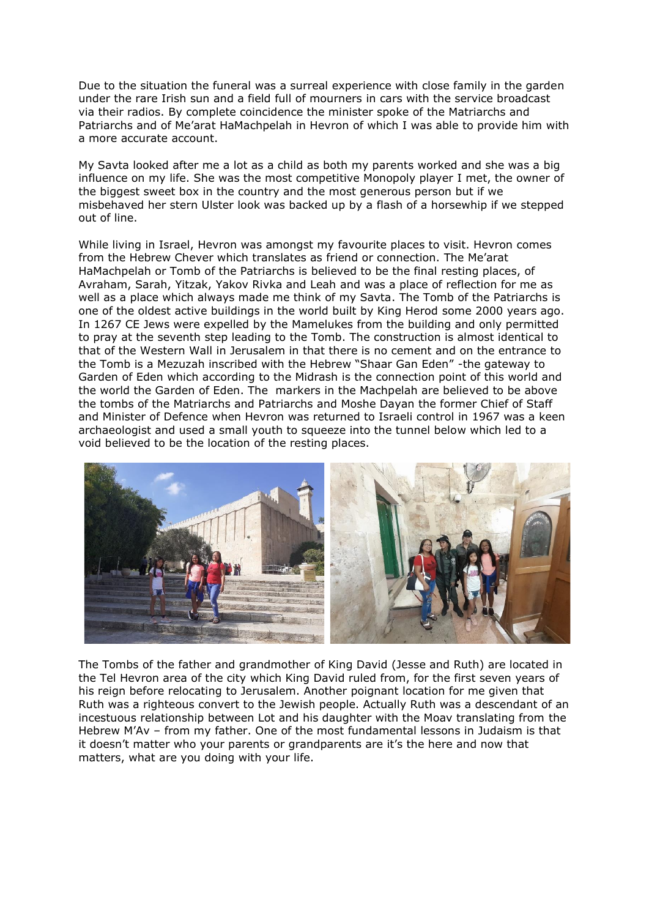Due to the situation the funeral was a surreal experience with close family in the garden under the rare Irish sun and a field full of mourners in cars with the service broadcast via their radios. By complete coincidence the minister spoke of the Matriarchs and Patriarchs and of Me'arat HaMachpelah in Hevron of which I was able to provide him with a more accurate account.

My Savta looked after me a lot as a child as both my parents worked and she was a big influence on my life. She was the most competitive Monopoly player I met, the owner of the biggest sweet box in the country and the most generous person but if we misbehaved her stern Ulster look was backed up by a flash of a horsewhip if we stepped out of line.

While living in Israel, Hevron was amongst my favourite places to visit. Hevron comes from the Hebrew Chever which translates as friend or connection. The Me'arat HaMachpelah or Tomb of the Patriarchs is believed to be the final resting places, of Avraham, Sarah, Yitzak, Yakov Rivka and Leah and was a place of reflection for me as well as a place which always made me think of my Savta. The Tomb of the Patriarchs is one of the oldest active buildings in the world built by King Herod some 2000 years ago. In 1267 CE Jews were expelled by the Mamelukes from the building and only permitted to pray at the seventh step leading to the Tomb. The construction is almost identical to that of the Western Wall in Jerusalem in that there is no cement and on the entrance to the Tomb is a Mezuzah inscribed with the Hebrew "Shaar Gan Eden" -the gateway to Garden of Eden which according to the Midrash is the connection point of this world and the world the Garden of Eden. The markers in the Machpelah are believed to be above the tombs of the Matriarchs and Patriarchs and Moshe Dayan the former Chief of Staff and Minister of Defence when Hevron was returned to Israeli control in 1967 was a keen archaeologist and used a small youth to squeeze into the tunnel below which led to a void believed to be the location of the resting places.



The Tombs of the father and grandmother of King David (Jesse and Ruth) are located in the Tel Hevron area of the city which King David ruled from, for the first seven years of his reign before relocating to Jerusalem. Another poignant location for me given that Ruth was a righteous convert to the Jewish people. Actually Ruth was a descendant of an incestuous relationship between Lot and his daughter with the Moav translating from the Hebrew M'Av – from my father. One of the most fundamental lessons in Judaism is that it doesn't matter who your parents or grandparents are it's the here and now that matters, what are you doing with your life.